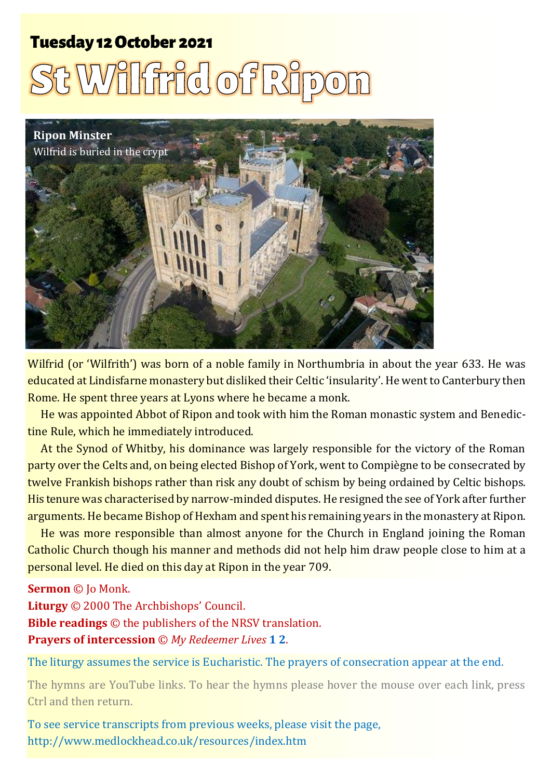# Tuesday Tuesday 12 October <sup>2021</sup> <sup>1</sup> **St Wilfrid of Ripon** 12 October 2021 Wilfrid of Ri



Wilfrid (or 'Wilfrith') was born of a noble family in Northumbria in about the year 633. He was educated at Lindisfarne monastery but disliked their Celtic 'insularity'. He went to Canterbury then Rome. He spent three years at Lyons where he became a monk.

He was appointed Abbot of Ripon and took with him the Roman monastic system and Benedictine Rule, which he immediately introduced.

At the Synod of Whitby, his dominance was largely responsible for the victory of the Roman party over the Celts and, on being elected Bishop of York, went to Compiègne to be consecrated by twelve Frankish bishops rather than risk any doubt of schism by being ordained by Celtic bishops. His tenure was characterised by narrow-minded disputes. He resigned the see of York after further arguments. He became Bishop of Hexham and spent his remaining years in the monastery at Ripon.

He was more responsible than almost anyone for the Church in England joining the Roman Catholic Church though his manner and methods did not help him draw people close to him at a personal level. He died on this day at Ripon in the year 709.

#### **Sermon** © Jo Monk.

**Liturgy** © 2000 The Archbishops' Council. **Bible readings** © the publishers of the NRSV translation. **Prayers of intercession** © *My Redeemer Lives* **[1](https://re-worship.blogspot.com/2012/02/confession-assurance-1-corinthians-1.html) [2](https://re-worship.blogspot.com/2014/01/opening-prayer-1-corinthians-1-18-31.html)**.

The liturgy assumes the service is Eucharistic. The prayers of consecration appear at the end.

The hymns are YouTube links. To hear the hymns please hover the mouse over each link, press Ctrl and then return.

To see service transcripts from previous weeks, please visit the page, <http://www.medlockhead.co.uk/resources/index.htm>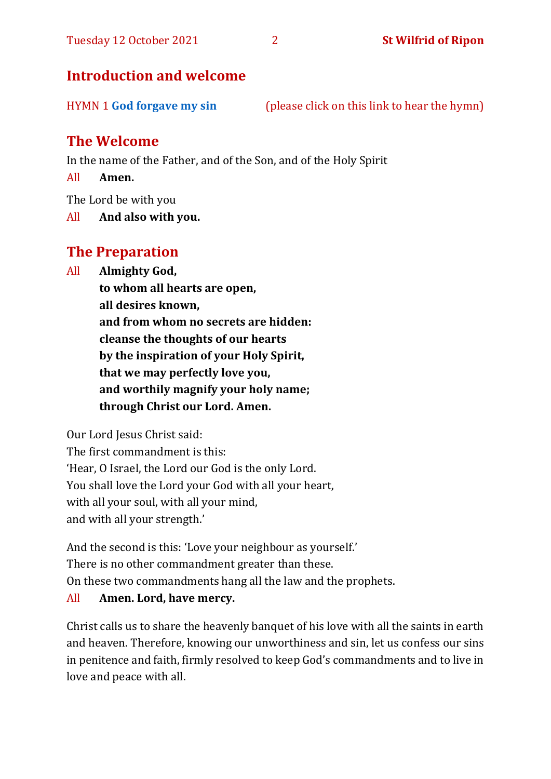#### **Introduction and welcome**

HYMN 1 **[God forgave my sin](https://www.youtube.com/watch?v=QJ3eklr3fc0)** (please click on this link to hear the hymn)

## **The Welcome**

In the name of the Father, and of the Son, and of the Holy Spirit

All **Amen.**

The Lord be with you

All **And also with you.**

## **The Preparation**

All **Almighty God,**

**to whom all hearts are open, all desires known, and from whom no secrets are hidden: cleanse the thoughts of our hearts by the inspiration of your Holy Spirit, that we may perfectly love you, and worthily magnify your holy name; through Christ our Lord. Amen.**

Our Lord Jesus Christ said:

The first commandment is this: 'Hear, O Israel, the Lord our God is the only Lord. You shall love the Lord your God with all your heart, with all your soul, with all your mind, and with all your strength.'

And the second is this: 'Love your neighbour as yourself.' There is no other commandment greater than these. On these two commandments hang all the law and the prophets.

#### All **Amen. Lord, have mercy.**

Christ calls us to share the heavenly banquet of his love with all the saints in earth and heaven. Therefore, knowing our unworthiness and sin, let us confess our sins in penitence and faith, firmly resolved to keep God's commandments and to live in love and peace with all.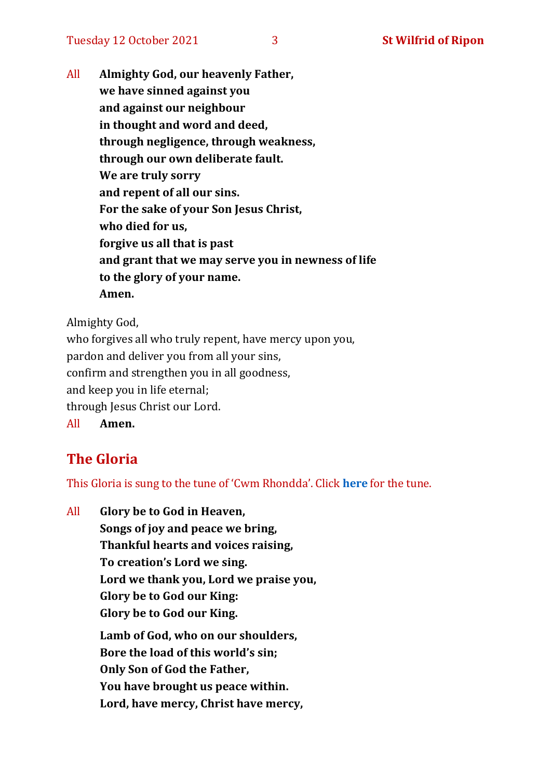All **Almighty God, our heavenly Father, we have sinned against you and against our neighbour in thought and word and deed, through negligence, through weakness, through our own deliberate fault. We are truly sorry and repent of all our sins. For the sake of your Son Jesus Christ, who died for us, forgive us all that is past and grant that we may serve you in newness of life to the glory of your name. Amen.**

Almighty God,

who forgives all who truly repent, have mercy upon you, pardon and deliver you from all your sins, confirm and strengthen you in all goodness, and keep you in life eternal; through Jesus Christ our Lord. All **Amen.**

# **The Gloria**

This Gloria is sung to the tune of 'Cwm Rhondda'. Click **[here](https://www.youtube.com/watch?v=l71MLQ22dIk)** for the tune.

All **Glory be to God in Heaven, Songs of joy and peace we bring, Thankful hearts and voices raising, To creation's Lord we sing. Lord we thank you, Lord we praise you, Glory be to God our King: Glory be to God our King. Lamb of God, who on our shoulders, Bore the load of this world's sin; Only Son of God the Father, You have brought us peace within. Lord, have mercy, Christ have mercy,**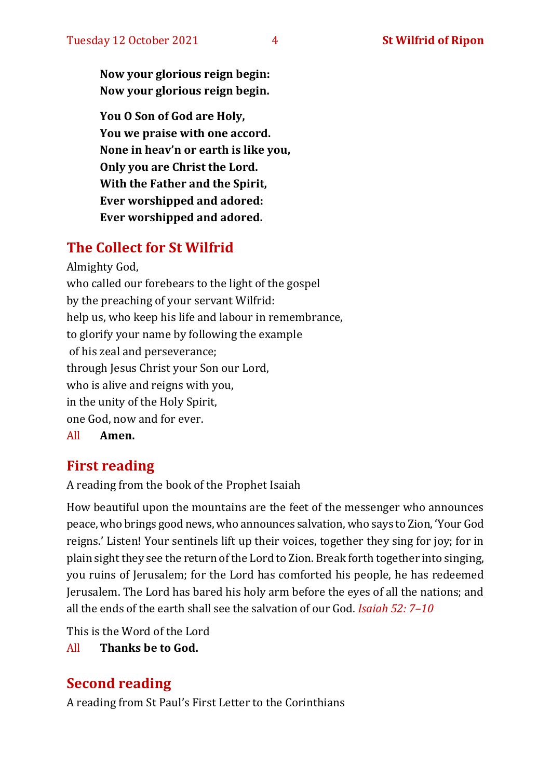**Now your glorious reign begin: Now your glorious reign begin.**

**You O Son of God are Holy, You we praise with one accord. None in heav'n or earth is like you, Only you are Christ the Lord. With the Father and the Spirit, Ever worshipped and adored: Ever worshipped and adored.**

# **The Collect for St Wilfrid**

Almighty God, who called our forebears to the light of the gospel by the preaching of your servant Wilfrid: help us, who keep his life and labour in remembrance, to glorify your name by following the example of his zeal and perseverance; through Jesus Christ your Son our Lord, who is alive and reigns with you, in the unity of the Holy Spirit, one God, now and for ever. All **Amen.**

# **First reading**

A reading from the book of the Prophet Isaiah

How beautiful upon the mountains are the feet of the messenger who announces peace, who brings good news, who announces salvation, who says to Zion, 'Your God reigns.' Listen! Your sentinels lift up their voices, together they sing for joy; for in plain sight they see the return of the Lord to Zion. Break forth together into singing, you ruins of Jerusalem; for the Lord has comforted his people, he has redeemed Jerusalem. The Lord has bared his holy arm before the eyes of all the nations; and all the ends of the earth shall see the salvation of our God. *Isaiah 52: 7–10*

This is the Word of the Lord

All **Thanks be to God.**

# **Second reading**

A reading from St Paul's First Letter to the Corinthians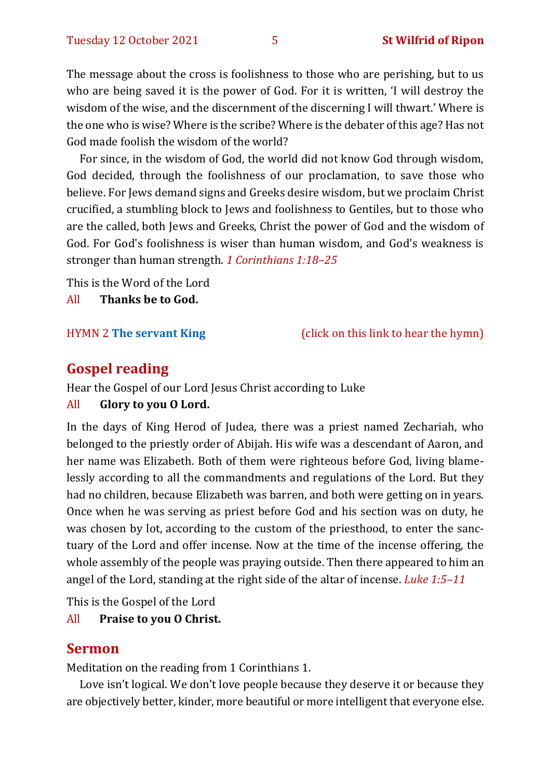The message about the cross is foolishness to those who are perishing, but to us who are being saved it is the power of God. For it is written, 'I will destroy the wisdom of the wise, and the discernment of the discerning I will thwart.' Where is the one who is wise? Where is the scribe? Where is the debater of this age? Has not God made foolish the wisdom of the world?

For since, in the wisdom of God, the world did not know God through wisdom, God decided, through the foolishness of our proclamation, to save those who believe. For Jews demand signs and Greeks desire wisdom, but we proclaim Christ crucified, a stumbling block to Jews and foolishness to Gentiles, but to those who are the called, both Jews and Greeks, Christ the power of God and the wisdom of God. For God's foolishness is wiser than human wisdom, and God's weakness is stronger than human strength. *1 Corinthians 1:18–25*

This is the Word of the Lord All **Thanks be to God.**

#### HYMN 2 **[The servant King](https://www.youtube.com/watch?v=lSeW6CSlUEE)** (click on this link to hear the hymn)

### **Gospel reading**

Hear the Gospel of our Lord Jesus Christ according to Luke

#### All **Glory to you O Lord.**

In the days of King Herod of Judea, there was a priest named Zechariah, who belonged to the priestly order of Abijah. His wife was a descendant of Aaron, and her name was Elizabeth. Both of them were righteous before God, living blamelessly according to all the commandments and regulations of the Lord. But they had no children, because Elizabeth was barren, and both were getting on in years. Once when he was serving as priest before God and his section was on duty, he was chosen by lot, according to the custom of the priesthood, to enter the sanctuary of the Lord and offer incense. Now at the time of the incense offering, the whole assembly of the people was praying outside. Then there appeared to him an angel of the Lord, standing at the right side of the altar of incense. *Luke 1:5–11*

This is the Gospel of the Lord

#### All **Praise to you O Christ.**

#### **Sermon**

Meditation on the reading from 1 Corinthians 1.

Love isn't logical. We don't love people because they deserve it or because they are objectively better, kinder, more beautiful or more intelligent that everyone else.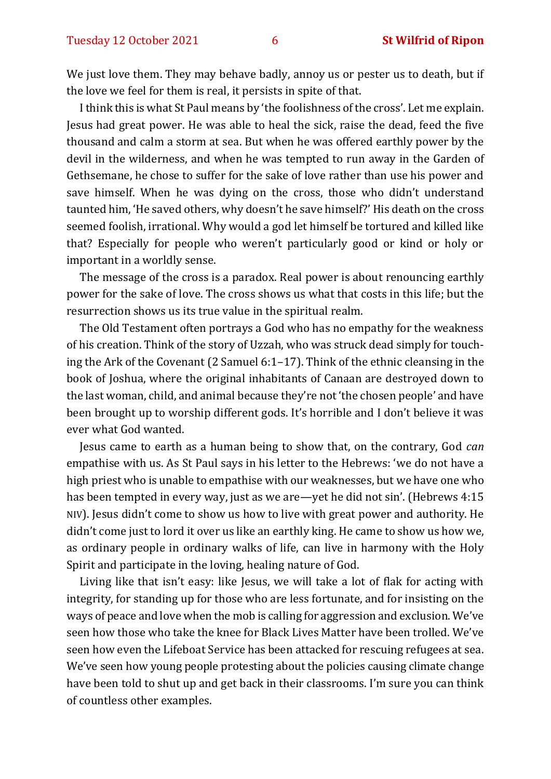We just love them. They may behave badly, annoy us or pester us to death, but if the love we feel for them is real, it persists in spite of that.

I think this is what St Paul means by 'the foolishness of the cross'. Let me explain. Jesus had great power. He was able to heal the sick, raise the dead, feed the five thousand and calm a storm at sea. But when he was offered earthly power by the devil in the wilderness, and when he was tempted to run away in the Garden of Gethsemane, he chose to suffer for the sake of love rather than use his power and save himself. When he was dying on the cross, those who didn't understand taunted him, 'He saved others, why doesn't he save himself?' His death on the cross seemed foolish, irrational. Why would a god let himself be tortured and killed like that? Especially for people who weren't particularly good or kind or holy or important in a worldly sense.

The message of the cross is a paradox. Real power is about renouncing earthly power for the sake of love. The cross shows us what that costs in this life; but the resurrection shows us its true value in the spiritual realm.

The Old Testament often portrays a God who has no empathy for the weakness of his creation. Think of the story of Uzzah, who was struck dead simply for touching the Ark of the Covenant (2 Samuel 6:1–17). Think of the ethnic cleansing in the book of Joshua, where the original inhabitants of Canaan are destroyed down to the last woman, child, and animal because they're not 'the chosen people' and have been brought up to worship different gods. It's horrible and I don't believe it was ever what God wanted.

Jesus came to earth as a human being to show that, on the contrary, God *can* empathise with us. As St Paul says in his letter to the Hebrews: 'we do not have a high priest who is unable to empathise with our weaknesses, but we have one who has been tempted in every way, just as we are—yet he did not sin'. (Hebrews 4:15 NIV). Jesus didn't come to show us how to live with great power and authority. He didn't come just to lord it over us like an earthly king. He came to show us how we, as ordinary people in ordinary walks of life, can live in harmony with the Holy Spirit and participate in the loving, healing nature of God.

Living like that isn't easy: like Jesus, we will take a lot of flak for acting with integrity, for standing up for those who are less fortunate, and for insisting on the ways of peace and love when the mob is calling for aggression and exclusion. We've seen how those who take the knee for Black Lives Matter have been trolled. We've seen how even the Lifeboat Service has been attacked for rescuing refugees at sea. We've seen how young people protesting about the policies causing climate change have been told to shut up and get back in their classrooms. I'm sure you can think of countless other examples.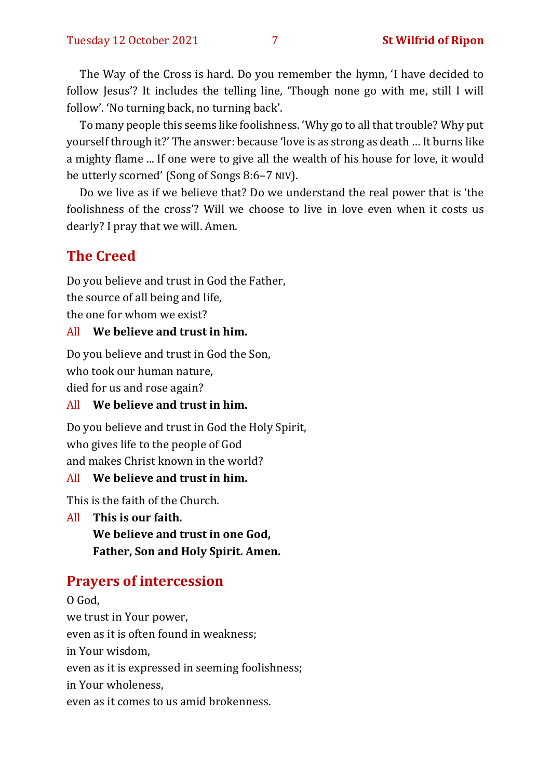The Way of the Cross is hard. Do you remember the hymn, 'I have decided to follow Jesus'? It includes the telling line, 'Though none go with me, still I will follow'. 'No turning back, no turning back'.

To many people this seems like foolishness. 'Why go to all that trouble? Why put yourself through it?' The answer: because 'love is as strong as death … It burns like a mighty flame ... If one were to give all the wealth of his house for love, it would be utterly scorned' (Song of Songs 8:6–7 NIV).

Do we live as if we believe that? Do we understand the real power that is 'the foolishness of the cross'? Will we choose to live in love even when it costs us dearly? I pray that we will. Amen.

## **The Creed**

Do you believe and trust in God the Father, the source of all being and life, the one for whom we exist?

#### All **We believe and trust in him.**

Do you believe and trust in God the Son,

who took our human nature,

died for us and rose again?

#### All **We believe and trust in him.**

Do you believe and trust in God the Holy Spirit, who gives life to the people of God and makes Christ known in the world?

#### All **We believe and trust in him.**

This is the faith of the Church.

All **This is our faith. We believe and trust in one God, Father, Son and Holy Spirit. Amen.**

# **Prayers of intercession**

O God, we trust in Your power, even as it is often found in weakness; in Your wisdom, even as it is expressed in seeming foolishness; in Your wholeness, even as it comes to us amid brokenness.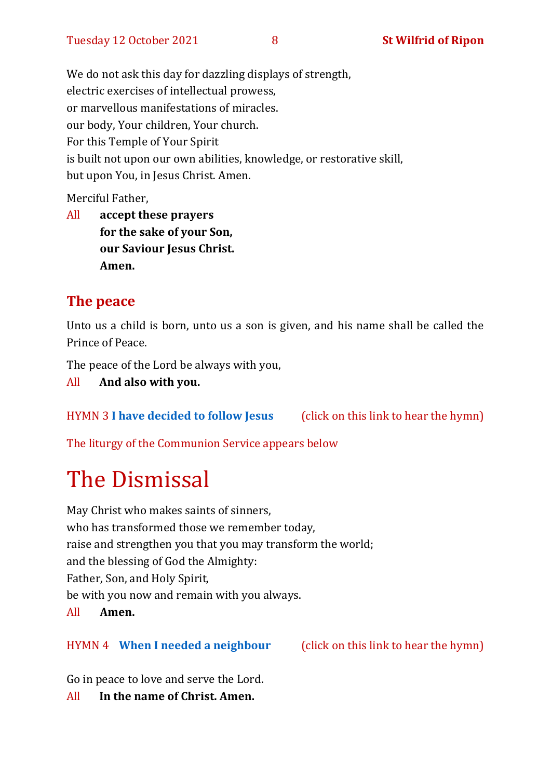We do not ask this day for dazzling displays of strength, electric exercises of intellectual prowess, or marvellous manifestations of miracles. our body, Your children, Your church. For this Temple of Your Spirit is built not upon our own abilities, knowledge, or restorative skill, but upon You, in Jesus Christ. Amen.

Merciful Father,

All **accept these prayers for the sake of your Son, our Saviour Jesus Christ. Amen.**

# **The peace**

Unto us a child is born, unto us a son is given, and his name shall be called the Prince of Peace.

The peace of the Lord be always with you,

All **And also with you.**

HYMN 3 **[I have decided to follow Jesus](https://www.youtube.com/watch?v=_L9h9UjIkMM)** (click on this link to hear the hymn)

The liturgy of the Communion Service appears below

# The Dismissal

May Christ who makes saints of sinners, who has transformed those we remember today, raise and strengthen you that you may transform the world; and the blessing of God the Almighty: Father, Son, and Holy Spirit, be with you now and remain with you always. All **Amen.**

#### HYMN 4 **[When I needed a neighbour](https://www.youtube.com/watch?v=aDAAvWbmmxw&feature=youtu.be)** (click on this link to hear the hymn)

Go in peace to love and serve the Lord. All **In the name of Christ. Amen.**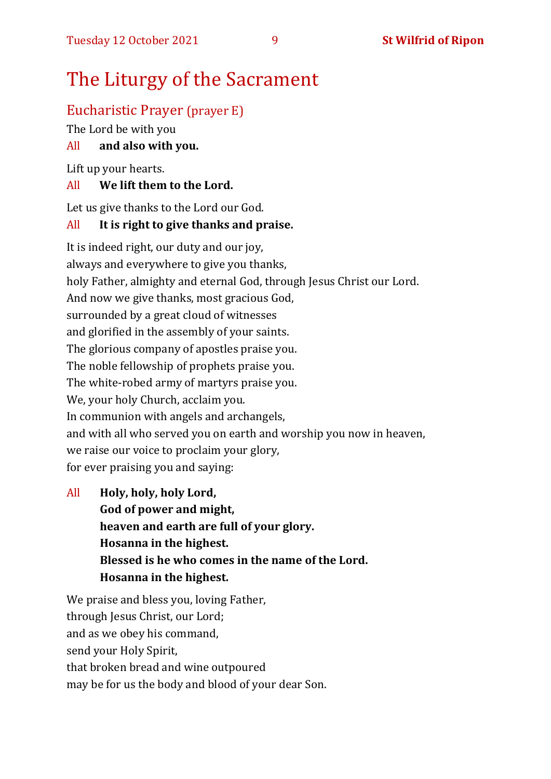# The Liturgy of the Sacrament

# Eucharistic Prayer (prayer E)

The Lord be with you

### All **and also with you.**

Lift up your hearts.

#### All **We lift them to the Lord.**

Let us give thanks to the Lord our God.

#### All **It is right to give thanks and praise.**

It is indeed right, our duty and our joy, always and everywhere to give you thanks, holy Father, almighty and eternal God, through Jesus Christ our Lord. And now we give thanks, most gracious God, surrounded by a great cloud of witnesses and glorified in the assembly of your saints. The glorious company of apostles praise you. The noble fellowship of prophets praise you. The white-robed army of martyrs praise you. We, your holy Church, acclaim you. In communion with angels and archangels, and with all who served you on earth and worship you now in heaven, we raise our voice to proclaim your glory, for ever praising you and saying:

All **Holy, holy, holy Lord, God of power and might, heaven and earth are full of your glory. Hosanna in the highest. Blessed is he who comes in the name of the Lord. Hosanna in the highest.**

We praise and bless you, loving Father, through Jesus Christ, our Lord; and as we obey his command, send your Holy Spirit, that broken bread and wine outpoured may be for us the body and blood of your dear Son.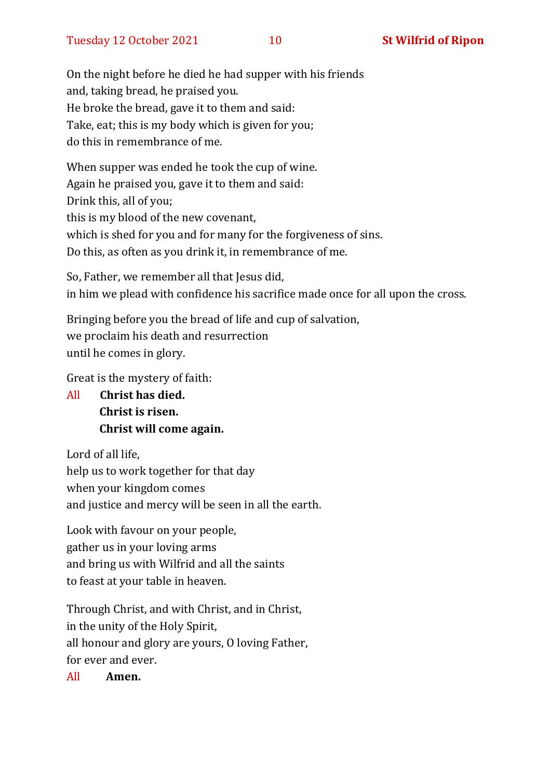On the night before he died he had supper with his friends and, taking bread, he praised you. He broke the bread, gave it to them and said: Take, eat; this is my body which is given for you; do this in remembrance of me.

When supper was ended he took the cup of wine. Again he praised you, gave it to them and said: Drink this, all of you; this is my blood of the new covenant, which is shed for you and for many for the forgiveness of sins. Do this, as often as you drink it, in remembrance of me.

So, Father, we remember all that Jesus did, in him we plead with confidence his sacrifice made once for all upon the cross.

Bringing before you the bread of life and cup of salvation, we proclaim his death and resurrection until he comes in glory.

Great is the mystery of faith:

All **Christ has died. Christ is risen. Christ will come again.**

Lord of all life, help us to work together for that day when your kingdom comes and justice and mercy will be seen in all the earth.

Look with favour on your people, gather us in your loving arms and bring us with Wilfrid and all the saints to feast at your table in heaven.

Through Christ, and with Christ, and in Christ, in the unity of the Holy Spirit, all honour and glory are yours, O loving Father, for ever and ever.

All **Amen.**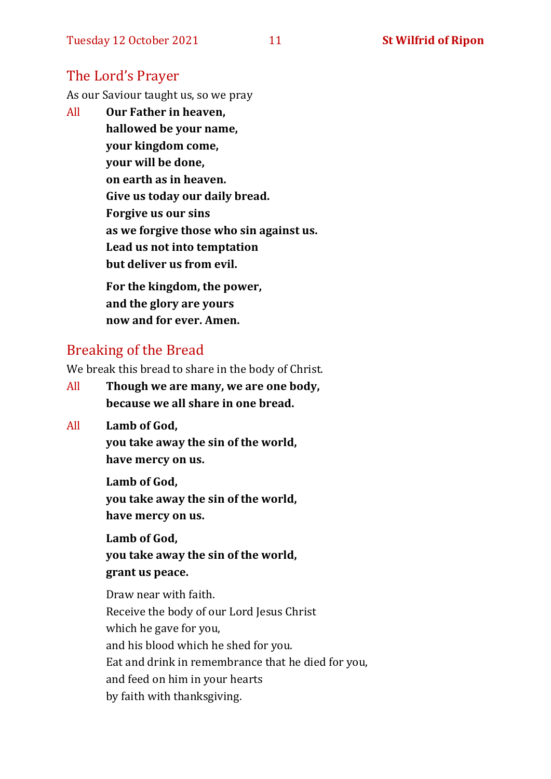### The Lord's Prayer

As our Saviour taught us, so we pray

All **Our Father in heaven, hallowed be your name, your kingdom come, your will be done, on earth as in heaven. Give us today our daily bread. Forgive us our sins as we forgive those who sin against us. Lead us not into temptation but deliver us from evil. For the kingdom, the power,** 

**and the glory are yours now and for ever. Amen.**

#### Breaking of the Bread

We break this bread to share in the body of Christ.

- All **Though we are many, we are one body, because we all share in one bread.**
- All **Lamb of God,**

**you take away the sin of the world, have mercy on us.**

**Lamb of God, you take away the sin of the world, have mercy on us.**

**Lamb of God, you take away the sin of the world, grant us peace.**

Draw near with faith. Receive the body of our Lord Jesus Christ which he gave for you, and his blood which he shed for you. Eat and drink in remembrance that he died for you, and feed on him in your hearts by faith with thanksgiving.